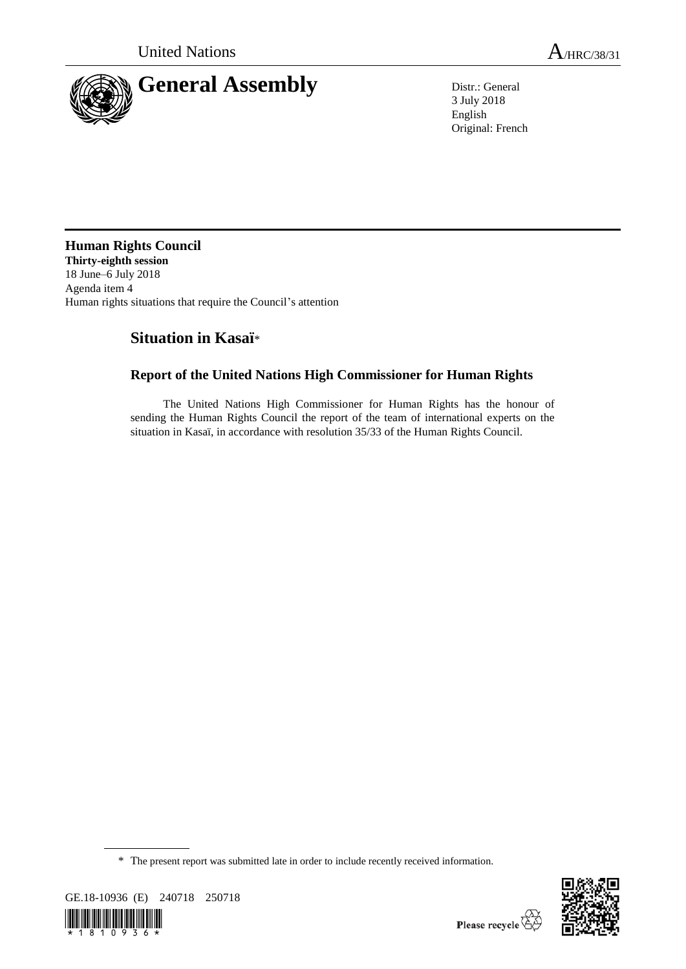

3 July 2018 English Original: French

**Human Rights Council Thirty-eighth session**  18 June–6 July 2018 Agenda item 4 Human rights situations that require the Council's attention

# **Situation in Kasaï**\*

## **Report of the United Nations High Commissioner for Human Rights**

The United Nations High Commissioner for Human Rights has the honour of sending the Human Rights Council the report of the team of international experts on the situation in Kasaï, in accordance with resolution 35/33 of the Human Rights Council.

<sup>\*</sup> The present report was submitted late in order to include recently received information.



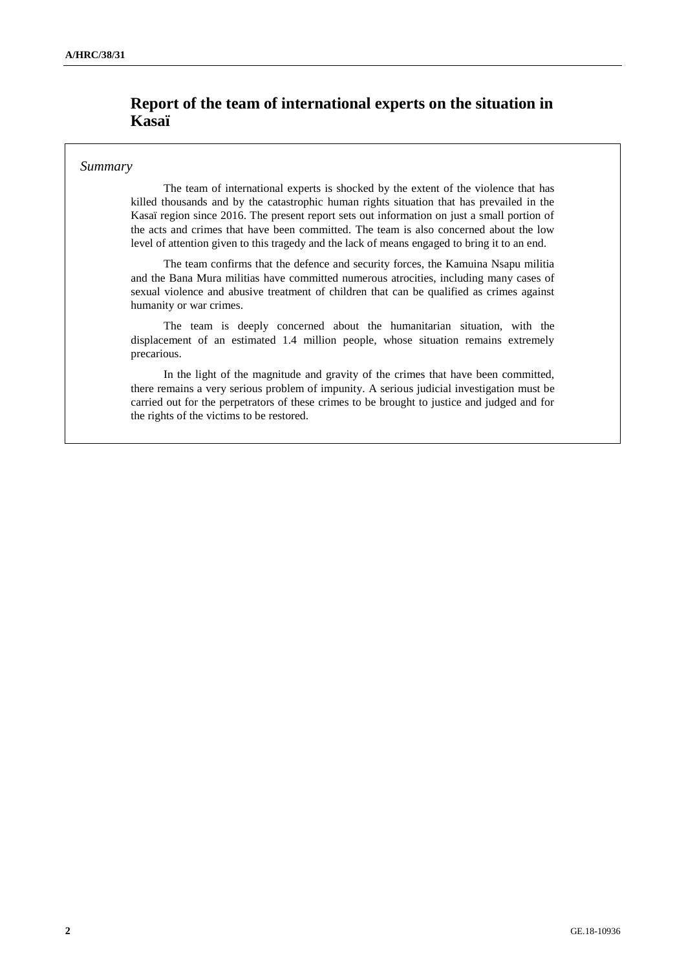## **Report of the team of international experts on the situation in Kasaï**

### *Summary*

The team of international experts is shocked by the extent of the violence that has killed thousands and by the catastrophic human rights situation that has prevailed in the Kasaï region since 2016. The present report sets out information on just a small portion of the acts and crimes that have been committed. The team is also concerned about the low level of attention given to this tragedy and the lack of means engaged to bring it to an end.

The team confirms that the defence and security forces, the Kamuina Nsapu militia and the Bana Mura militias have committed numerous atrocities, including many cases of sexual violence and abusive treatment of children that can be qualified as crimes against humanity or war crimes.

The team is deeply concerned about the humanitarian situation, with the displacement of an estimated 1.4 million people, whose situation remains extremely precarious.

In the light of the magnitude and gravity of the crimes that have been committed, there remains a very serious problem of impunity. A serious judicial investigation must be carried out for the perpetrators of these crimes to be brought to justice and judged and for the rights of the victims to be restored.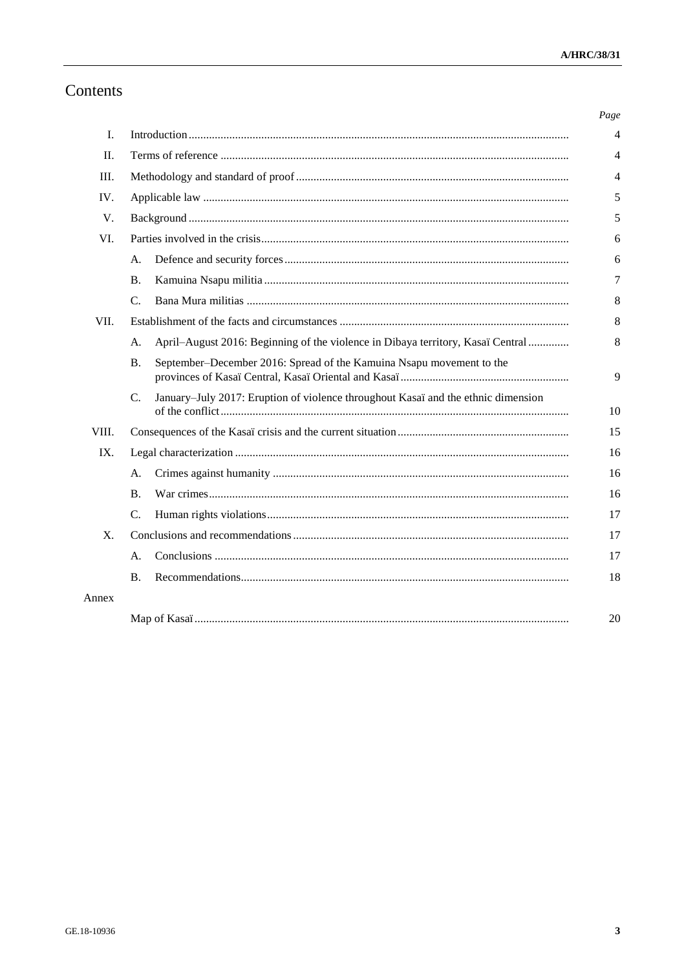# Contents

|                |                                                                                                     | Page |
|----------------|-----------------------------------------------------------------------------------------------------|------|
| Ι.             |                                                                                                     | 4    |
| $\Pi$ .        |                                                                                                     | 4    |
| III.           |                                                                                                     | 4    |
| IV.            |                                                                                                     | 5    |
| V.             |                                                                                                     | 5    |
| VI.            |                                                                                                     | 6    |
|                | A.                                                                                                  | 6    |
|                | <b>B.</b>                                                                                           | 7    |
|                | $C_{\cdot}$                                                                                         | 8    |
| VII.           |                                                                                                     | 8    |
|                | April–August 2016: Beginning of the violence in Dibaya territory, Kasaï Central<br>A.               | 8    |
|                | September-December 2016: Spread of the Kamuina Nsapu movement to the<br><b>B.</b>                   | 9    |
|                | January-July 2017: Eruption of violence throughout Kasaï and the ethnic dimension<br>$\mathbf{C}$ . | 10   |
| VIII.          |                                                                                                     | 15   |
| IX.            |                                                                                                     | 16   |
|                | А.                                                                                                  | 16   |
|                | B.                                                                                                  | 16   |
|                | $C_{\cdot}$                                                                                         | 17   |
| $\mathbf{X}$ . |                                                                                                     | 17   |
|                | А.                                                                                                  | 17   |
|                | <b>B.</b>                                                                                           | 18   |
| Annex          |                                                                                                     |      |
|                |                                                                                                     | 20   |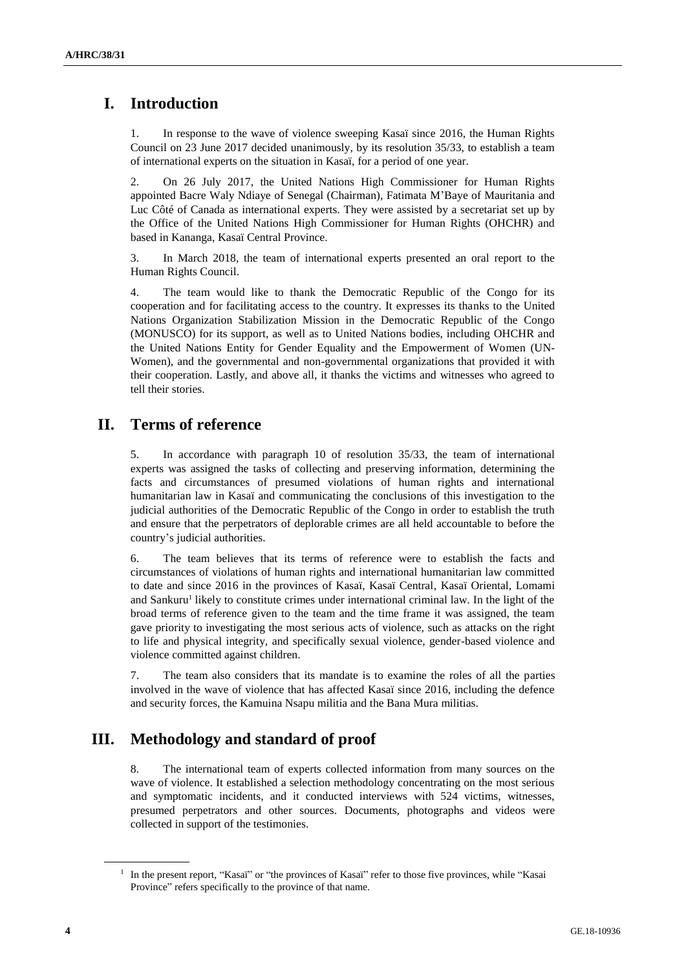# **I. Introduction**

1. In response to the wave of violence sweeping Kasaï since 2016, the Human Rights Council on 23 June 2017 decided unanimously, by its resolution 35/33, to establish a team of international experts on the situation in Kasaï, for a period of one year.

2. On 26 July 2017, the United Nations High Commissioner for Human Rights appointed Bacre Waly Ndiaye of Senegal (Chairman), Fatimata M'Baye of Mauritania and Luc Côté of Canada as international experts. They were assisted by a secretariat set up by the Office of the United Nations High Commissioner for Human Rights (OHCHR) and based in Kananga, Kasaï Central Province.

3. In March 2018, the team of international experts presented an oral report to the Human Rights Council.

4. The team would like to thank the Democratic Republic of the Congo for its cooperation and for facilitating access to the country. It expresses its thanks to the United Nations Organization Stabilization Mission in the Democratic Republic of the Congo (MONUSCO) for its support, as well as to United Nations bodies, including OHCHR and the United Nations Entity for Gender Equality and the Empowerment of Women (UN-Women), and the governmental and non-governmental organizations that provided it with their cooperation. Lastly, and above all, it thanks the victims and witnesses who agreed to tell their stories.

## **II. Terms of reference**

5. In accordance with paragraph 10 of resolution 35/33, the team of international experts was assigned the tasks of collecting and preserving information, determining the facts and circumstances of presumed violations of human rights and international humanitarian law in Kasaï and communicating the conclusions of this investigation to the judicial authorities of the Democratic Republic of the Congo in order to establish the truth and ensure that the perpetrators of deplorable crimes are all held accountable to before the country's judicial authorities.

6. The team believes that its terms of reference were to establish the facts and circumstances of violations of human rights and international humanitarian law committed to date and since 2016 in the provinces of Kasaï, Kasaï Central, Kasaï Oriental, Lomami and Sankuru<sup>1</sup> likely to constitute crimes under international criminal law. In the light of the broad terms of reference given to the team and the time frame it was assigned, the team gave priority to investigating the most serious acts of violence, such as attacks on the right to life and physical integrity, and specifically sexual violence, gender-based violence and violence committed against children.

7. The team also considers that its mandate is to examine the roles of all the parties involved in the wave of violence that has affected Kasaï since 2016, including the defence and security forces, the Kamuina Nsapu militia and the Bana Mura militias.

# **III. Methodology and standard of proof**

8. The international team of experts collected information from many sources on the wave of violence. It established a selection methodology concentrating on the most serious and symptomatic incidents, and it conducted interviews with 524 victims, witnesses, presumed perpetrators and other sources. Documents, photographs and videos were collected in support of the testimonies.

<sup>&</sup>lt;sup>1</sup> In the present report, "Kasaï" or "the provinces of Kasaï" refer to those five provinces, while "Kasai" Province" refers specifically to the province of that name.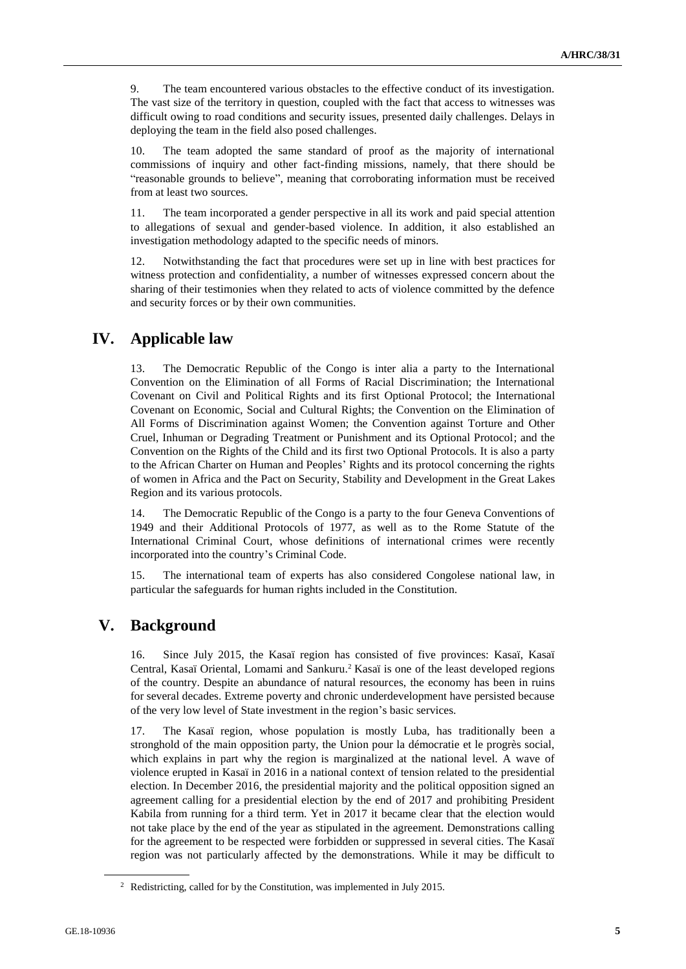9. The team encountered various obstacles to the effective conduct of its investigation. The vast size of the territory in question, coupled with the fact that access to witnesses was difficult owing to road conditions and security issues, presented daily challenges. Delays in deploying the team in the field also posed challenges.

10. The team adopted the same standard of proof as the majority of international commissions of inquiry and other fact-finding missions, namely, that there should be "reasonable grounds to believe", meaning that corroborating information must be received from at least two sources.

11. The team incorporated a gender perspective in all its work and paid special attention to allegations of sexual and gender-based violence. In addition, it also established an investigation methodology adapted to the specific needs of minors.

12. Notwithstanding the fact that procedures were set up in line with best practices for witness protection and confidentiality, a number of witnesses expressed concern about the sharing of their testimonies when they related to acts of violence committed by the defence and security forces or by their own communities.

## **IV. Applicable law**

13. The Democratic Republic of the Congo is inter alia a party to the International Convention on the Elimination of all Forms of Racial Discrimination; the International Covenant on Civil and Political Rights and its first Optional Protocol; the International Covenant on Economic, Social and Cultural Rights; the Convention on the Elimination of All Forms of Discrimination against Women; the Convention against Torture and Other Cruel, Inhuman or Degrading Treatment or Punishment and its Optional Protocol; and the Convention on the Rights of the Child and its first two Optional Protocols. It is also a party to the African Charter on Human and Peoples' Rights and its protocol concerning the rights of women in Africa and the Pact on Security, Stability and Development in the Great Lakes Region and its various protocols.

14. The Democratic Republic of the Congo is a party to the four Geneva Conventions of 1949 and their Additional Protocols of 1977, as well as to the Rome Statute of the International Criminal Court, whose definitions of international crimes were recently incorporated into the country's Criminal Code.

15. The international team of experts has also considered Congolese national law, in particular the safeguards for human rights included in the Constitution.

## **V. Background**

16. Since July 2015, the Kasaï region has consisted of five provinces: Kasaï, Kasaï Central, Kasaï Oriental, Lomami and Sankuru.<sup>2</sup> Kasaï is one of the least developed regions of the country. Despite an abundance of natural resources, the economy has been in ruins for several decades. Extreme poverty and chronic underdevelopment have persisted because of the very low level of State investment in the region's basic services.

17. The Kasaï region, whose population is mostly Luba, has traditionally been a stronghold of the main opposition party, the Union pour la démocratie et le progrès social, which explains in part why the region is marginalized at the national level. A wave of violence erupted in Kasaï in 2016 in a national context of tension related to the presidential election. In December 2016, the presidential majority and the political opposition signed an agreement calling for a presidential election by the end of 2017 and prohibiting President Kabila from running for a third term. Yet in 2017 it became clear that the election would not take place by the end of the year as stipulated in the agreement. Demonstrations calling for the agreement to be respected were forbidden or suppressed in several cities. The Kasaï region was not particularly affected by the demonstrations. While it may be difficult to

<sup>2</sup> Redistricting, called for by the Constitution, was implemented in July 2015.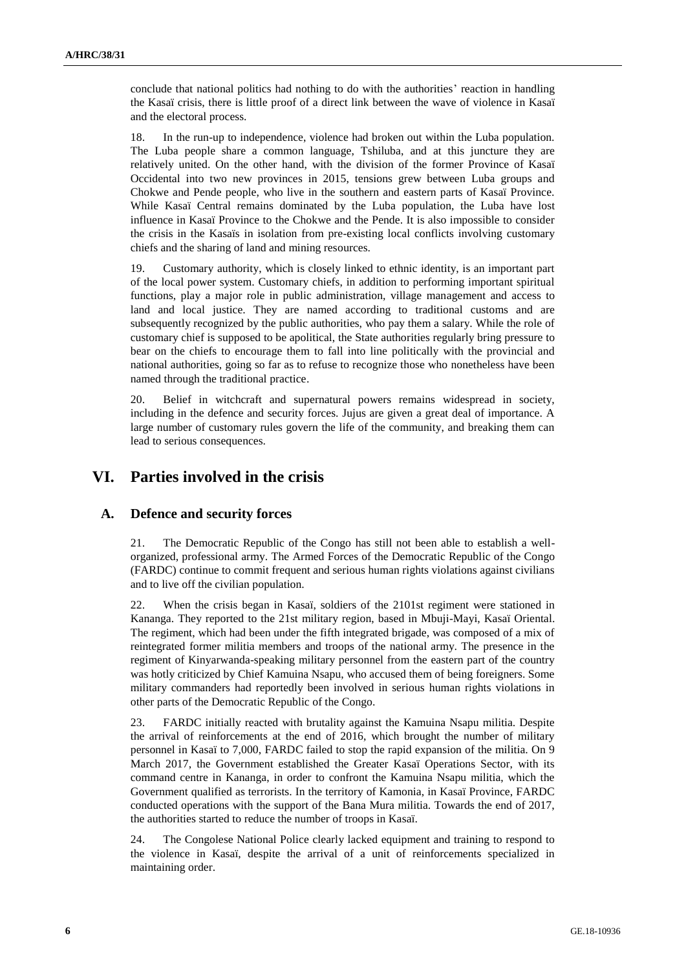conclude that national politics had nothing to do with the authorities' reaction in handling the Kasaï crisis, there is little proof of a direct link between the wave of violence in Kasaï and the electoral process.

18. In the run-up to independence, violence had broken out within the Luba population. The Luba people share a common language, Tshiluba, and at this juncture they are relatively united. On the other hand, with the division of the former Province of Kasaï Occidental into two new provinces in 2015, tensions grew between Luba groups and Chokwe and Pende people, who live in the southern and eastern parts of Kasaï Province. While Kasaï Central remains dominated by the Luba population, the Luba have lost influence in Kasaï Province to the Chokwe and the Pende. It is also impossible to consider the crisis in the Kasaïs in isolation from pre-existing local conflicts involving customary chiefs and the sharing of land and mining resources.

19. Customary authority, which is closely linked to ethnic identity, is an important part of the local power system. Customary chiefs, in addition to performing important spiritual functions, play a major role in public administration, village management and access to land and local justice. They are named according to traditional customs and are subsequently recognized by the public authorities, who pay them a salary. While the role of customary chief is supposed to be apolitical, the State authorities regularly bring pressure to bear on the chiefs to encourage them to fall into line politically with the provincial and national authorities, going so far as to refuse to recognize those who nonetheless have been named through the traditional practice.

20. Belief in witchcraft and supernatural powers remains widespread in society, including in the defence and security forces. Jujus are given a great deal of importance. A large number of customary rules govern the life of the community, and breaking them can lead to serious consequences.

## **VI. Parties involved in the crisis**

### **A. Defence and security forces**

21. The Democratic Republic of the Congo has still not been able to establish a wellorganized, professional army. The Armed Forces of the Democratic Republic of the Congo (FARDC) continue to commit frequent and serious human rights violations against civilians and to live off the civilian population.

22. When the crisis began in Kasaï, soldiers of the 2101st regiment were stationed in Kananga. They reported to the 21st military region, based in Mbuji-Mayi, Kasaï Oriental. The regiment, which had been under the fifth integrated brigade, was composed of a mix of reintegrated former militia members and troops of the national army. The presence in the regiment of Kinyarwanda-speaking military personnel from the eastern part of the country was hotly criticized by Chief Kamuina Nsapu, who accused them of being foreigners. Some military commanders had reportedly been involved in serious human rights violations in other parts of the Democratic Republic of the Congo.

23. FARDC initially reacted with brutality against the Kamuina Nsapu militia. Despite the arrival of reinforcements at the end of 2016, which brought the number of military personnel in Kasaï to 7,000, FARDC failed to stop the rapid expansion of the militia. On 9 March 2017, the Government established the Greater Kasaï Operations Sector, with its command centre in Kananga, in order to confront the Kamuina Nsapu militia, which the Government qualified as terrorists. In the territory of Kamonia, in Kasaï Province, FARDC conducted operations with the support of the Bana Mura militia. Towards the end of 2017, the authorities started to reduce the number of troops in Kasaï.

24. The Congolese National Police clearly lacked equipment and training to respond to the violence in Kasaï, despite the arrival of a unit of reinforcements specialized in maintaining order.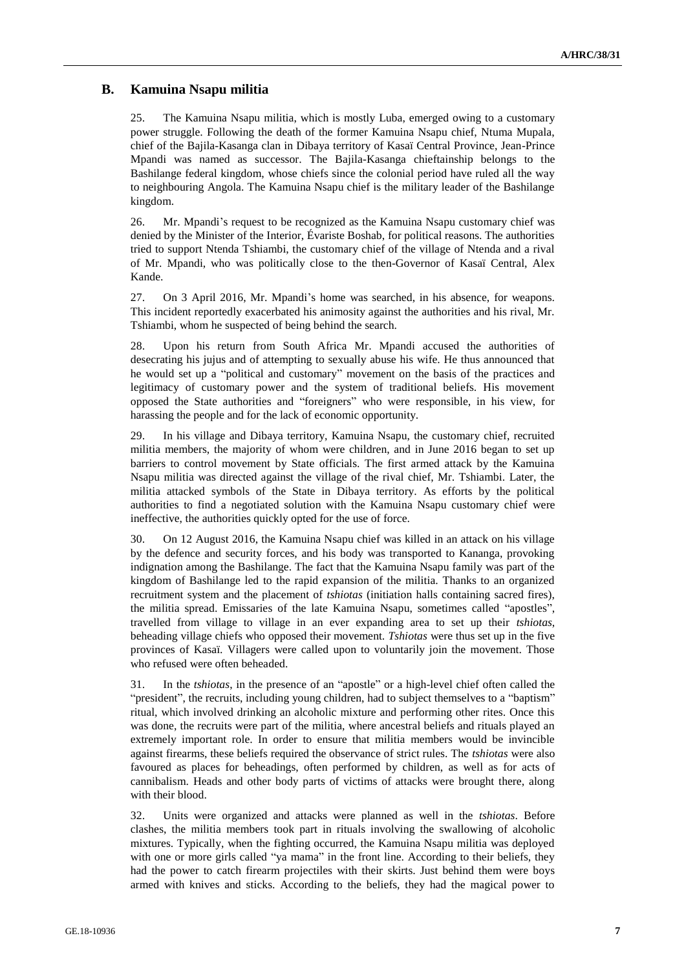## **B. Kamuina Nsapu militia**

25. The Kamuina Nsapu militia, which is mostly Luba, emerged owing to a customary power struggle. Following the death of the former Kamuina Nsapu chief, Ntuma Mupala, chief of the Bajila-Kasanga clan in Dibaya territory of Kasaï Central Province, Jean-Prince Mpandi was named as successor. The Bajila-Kasanga chieftainship belongs to the Bashilange federal kingdom, whose chiefs since the colonial period have ruled all the way to neighbouring Angola. The Kamuina Nsapu chief is the military leader of the Bashilange kingdom.

26. Mr. Mpandi's request to be recognized as the Kamuina Nsapu customary chief was denied by the Minister of the Interior, Évariste Boshab, for political reasons. The authorities tried to support Ntenda Tshiambi, the customary chief of the village of Ntenda and a rival of Mr. Mpandi, who was politically close to the then-Governor of Kasaï Central, Alex Kande.

27. On 3 April 2016, Mr. Mpandi's home was searched, in his absence, for weapons. This incident reportedly exacerbated his animosity against the authorities and his rival, Mr. Tshiambi, whom he suspected of being behind the search.

28. Upon his return from South Africa Mr. Mpandi accused the authorities of desecrating his jujus and of attempting to sexually abuse his wife. He thus announced that he would set up a "political and customary" movement on the basis of the practices and legitimacy of customary power and the system of traditional beliefs. His movement opposed the State authorities and "foreigners" who were responsible, in his view, for harassing the people and for the lack of economic opportunity.

29. In his village and Dibaya territory, Kamuina Nsapu, the customary chief, recruited militia members, the majority of whom were children, and in June 2016 began to set up barriers to control movement by State officials. The first armed attack by the Kamuina Nsapu militia was directed against the village of the rival chief, Mr. Tshiambi. Later, the militia attacked symbols of the State in Dibaya territory. As efforts by the political authorities to find a negotiated solution with the Kamuina Nsapu customary chief were ineffective, the authorities quickly opted for the use of force.

30. On 12 August 2016, the Kamuina Nsapu chief was killed in an attack on his village by the defence and security forces, and his body was transported to Kananga, provoking indignation among the Bashilange. The fact that the Kamuina Nsapu family was part of the kingdom of Bashilange led to the rapid expansion of the militia. Thanks to an organized recruitment system and the placement of *tshiotas* (initiation halls containing sacred fires), the militia spread. Emissaries of the late Kamuina Nsapu, sometimes called "apostles", travelled from village to village in an ever expanding area to set up their *tshiotas*, beheading village chiefs who opposed their movement. *Tshiotas* were thus set up in the five provinces of Kasaï. Villagers were called upon to voluntarily join the movement. Those who refused were often beheaded.

31. In the *tshiotas*, in the presence of an "apostle" or a high-level chief often called the "president", the recruits, including young children, had to subject themselves to a "baptism" ritual, which involved drinking an alcoholic mixture and performing other rites. Once this was done, the recruits were part of the militia, where ancestral beliefs and rituals played an extremely important role. In order to ensure that militia members would be invincible against firearms, these beliefs required the observance of strict rules. The *tshiotas* were also favoured as places for beheadings, often performed by children, as well as for acts of cannibalism. Heads and other body parts of victims of attacks were brought there, along with their blood.

32. Units were organized and attacks were planned as well in the *tshiotas*. Before clashes, the militia members took part in rituals involving the swallowing of alcoholic mixtures. Typically, when the fighting occurred, the Kamuina Nsapu militia was deployed with one or more girls called "ya mama" in the front line. According to their beliefs, they had the power to catch firearm projectiles with their skirts. Just behind them were boys armed with knives and sticks. According to the beliefs, they had the magical power to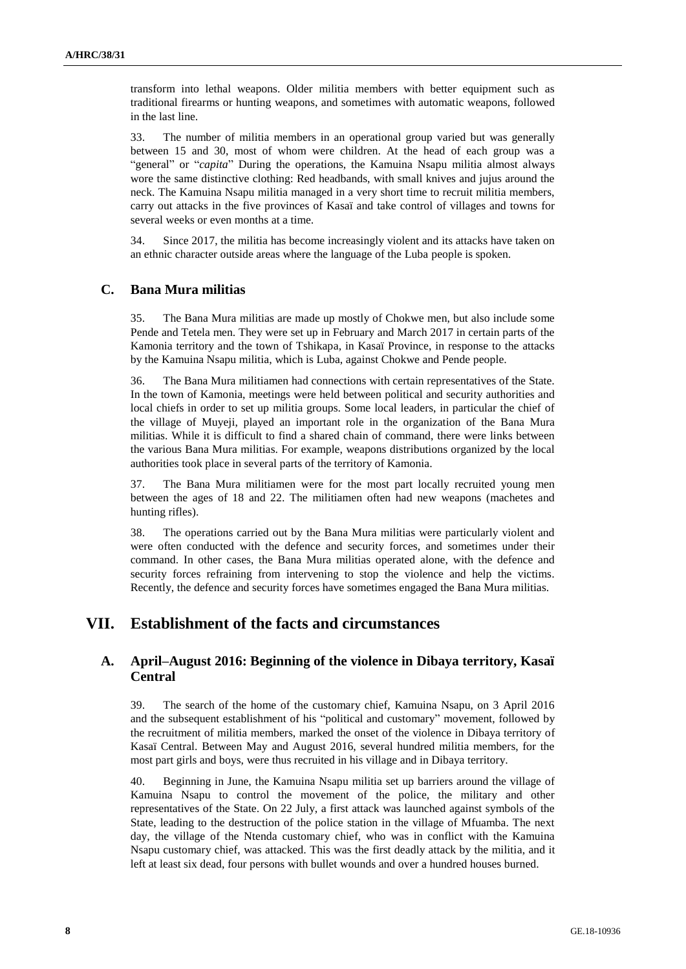transform into lethal weapons. Older militia members with better equipment such as traditional firearms or hunting weapons, and sometimes with automatic weapons, followed in the last line.

33. The number of militia members in an operational group varied but was generally between 15 and 30, most of whom were children. At the head of each group was a "general" or "*capita*" During the operations, the Kamuina Nsapu militia almost always wore the same distinctive clothing: Red headbands, with small knives and jujus around the neck. The Kamuina Nsapu militia managed in a very short time to recruit militia members, carry out attacks in the five provinces of Kasaï and take control of villages and towns for several weeks or even months at a time.

34. Since 2017, the militia has become increasingly violent and its attacks have taken on an ethnic character outside areas where the language of the Luba people is spoken.

## **C. Bana Mura militias**

35. The Bana Mura militias are made up mostly of Chokwe men, but also include some Pende and Tetela men. They were set up in February and March 2017 in certain parts of the Kamonia territory and the town of Tshikapa, in Kasaï Province, in response to the attacks by the Kamuina Nsapu militia, which is Luba, against Chokwe and Pende people.

36. The Bana Mura militiamen had connections with certain representatives of the State. In the town of Kamonia, meetings were held between political and security authorities and local chiefs in order to set up militia groups. Some local leaders, in particular the chief of the village of Muyeji, played an important role in the organization of the Bana Mura militias. While it is difficult to find a shared chain of command, there were links between the various Bana Mura militias. For example, weapons distributions organized by the local authorities took place in several parts of the territory of Kamonia.

37. The Bana Mura militiamen were for the most part locally recruited young men between the ages of 18 and 22. The militiamen often had new weapons (machetes and hunting rifles).

38. The operations carried out by the Bana Mura militias were particularly violent and were often conducted with the defence and security forces, and sometimes under their command. In other cases, the Bana Mura militias operated alone, with the defence and security forces refraining from intervening to stop the violence and help the victims. Recently, the defence and security forces have sometimes engaged the Bana Mura militias.

## **VII. Establishment of the facts and circumstances**

## **A. April–August 2016: Beginning of the violence in Dibaya territory, Kasaï Central**

39. The search of the home of the customary chief, Kamuina Nsapu, on 3 April 2016 and the subsequent establishment of his "political and customary" movement, followed by the recruitment of militia members, marked the onset of the violence in Dibaya territory of Kasaï Central. Between May and August 2016, several hundred militia members, for the most part girls and boys, were thus recruited in his village and in Dibaya territory.

40. Beginning in June, the Kamuina Nsapu militia set up barriers around the village of Kamuina Nsapu to control the movement of the police, the military and other representatives of the State. On 22 July, a first attack was launched against symbols of the State, leading to the destruction of the police station in the village of Mfuamba. The next day, the village of the Ntenda customary chief, who was in conflict with the Kamuina Nsapu customary chief, was attacked. This was the first deadly attack by the militia, and it left at least six dead, four persons with bullet wounds and over a hundred houses burned.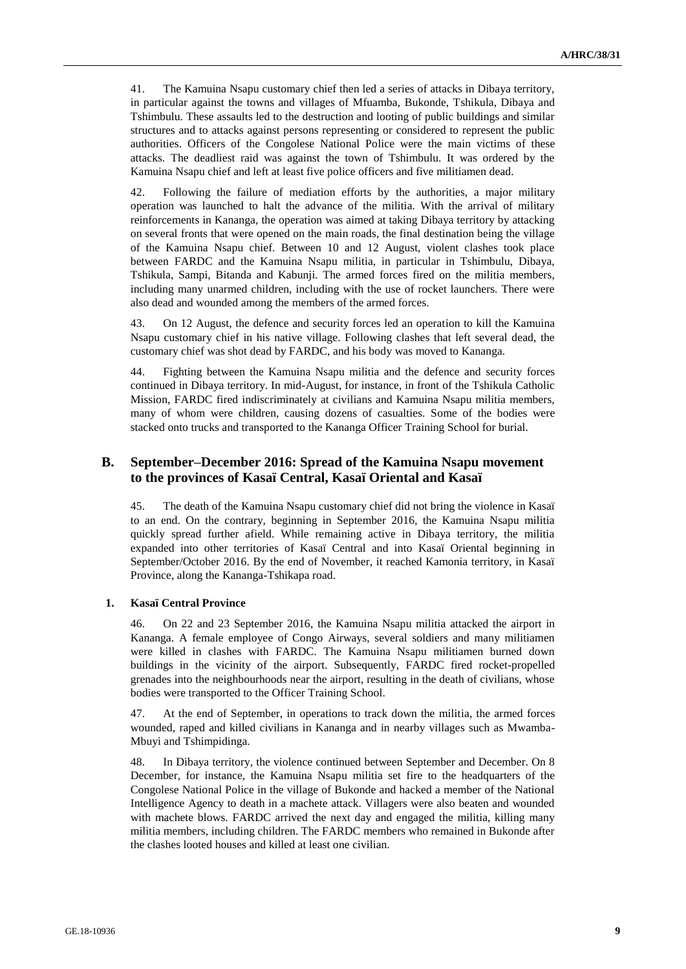41. The Kamuina Nsapu customary chief then led a series of attacks in Dibaya territory, in particular against the towns and villages of Mfuamba, Bukonde, Tshikula, Dibaya and Tshimbulu. These assaults led to the destruction and looting of public buildings and similar structures and to attacks against persons representing or considered to represent the public authorities. Officers of the Congolese National Police were the main victims of these attacks. The deadliest raid was against the town of Tshimbulu. It was ordered by the Kamuina Nsapu chief and left at least five police officers and five militiamen dead.

42. Following the failure of mediation efforts by the authorities, a major military operation was launched to halt the advance of the militia. With the arrival of military reinforcements in Kananga, the operation was aimed at taking Dibaya territory by attacking on several fronts that were opened on the main roads, the final destination being the village of the Kamuina Nsapu chief. Between 10 and 12 August, violent clashes took place between FARDC and the Kamuina Nsapu militia, in particular in Tshimbulu, Dibaya, Tshikula, Sampi, Bitanda and Kabunji. The armed forces fired on the militia members, including many unarmed children, including with the use of rocket launchers. There were also dead and wounded among the members of the armed forces.

43. On 12 August, the defence and security forces led an operation to kill the Kamuina Nsapu customary chief in his native village. Following clashes that left several dead, the customary chief was shot dead by FARDC, and his body was moved to Kananga.

44. Fighting between the Kamuina Nsapu militia and the defence and security forces continued in Dibaya territory. In mid-August, for instance, in front of the Tshikula Catholic Mission, FARDC fired indiscriminately at civilians and Kamuina Nsapu militia members, many of whom were children, causing dozens of casualties. Some of the bodies were stacked onto trucks and transported to the Kananga Officer Training School for burial.

## **B. September–December 2016: Spread of the Kamuina Nsapu movement to the provinces of Kasaï Central, Kasaï Oriental and Kasaï**

45. The death of the Kamuina Nsapu customary chief did not bring the violence in Kasaï to an end. On the contrary, beginning in September 2016, the Kamuina Nsapu militia quickly spread further afield. While remaining active in Dibaya territory, the militia expanded into other territories of Kasaï Central and into Kasaï Oriental beginning in September/October 2016. By the end of November, it reached Kamonia territory, in Kasaï Province, along the Kananga-Tshikapa road.

### **1. Kasaï Central Province**

46. On 22 and 23 September 2016, the Kamuina Nsapu militia attacked the airport in Kananga. A female employee of Congo Airways, several soldiers and many militiamen were killed in clashes with FARDC. The Kamuina Nsapu militiamen burned down buildings in the vicinity of the airport. Subsequently, FARDC fired rocket-propelled grenades into the neighbourhoods near the airport, resulting in the death of civilians, whose bodies were transported to the Officer Training School.

47. At the end of September, in operations to track down the militia, the armed forces wounded, raped and killed civilians in Kananga and in nearby villages such as Mwamba-Mbuyi and Tshimpidinga.

48. In Dibaya territory, the violence continued between September and December. On 8 December, for instance, the Kamuina Nsapu militia set fire to the headquarters of the Congolese National Police in the village of Bukonde and hacked a member of the National Intelligence Agency to death in a machete attack. Villagers were also beaten and wounded with machete blows. FARDC arrived the next day and engaged the militia, killing many militia members, including children. The FARDC members who remained in Bukonde after the clashes looted houses and killed at least one civilian.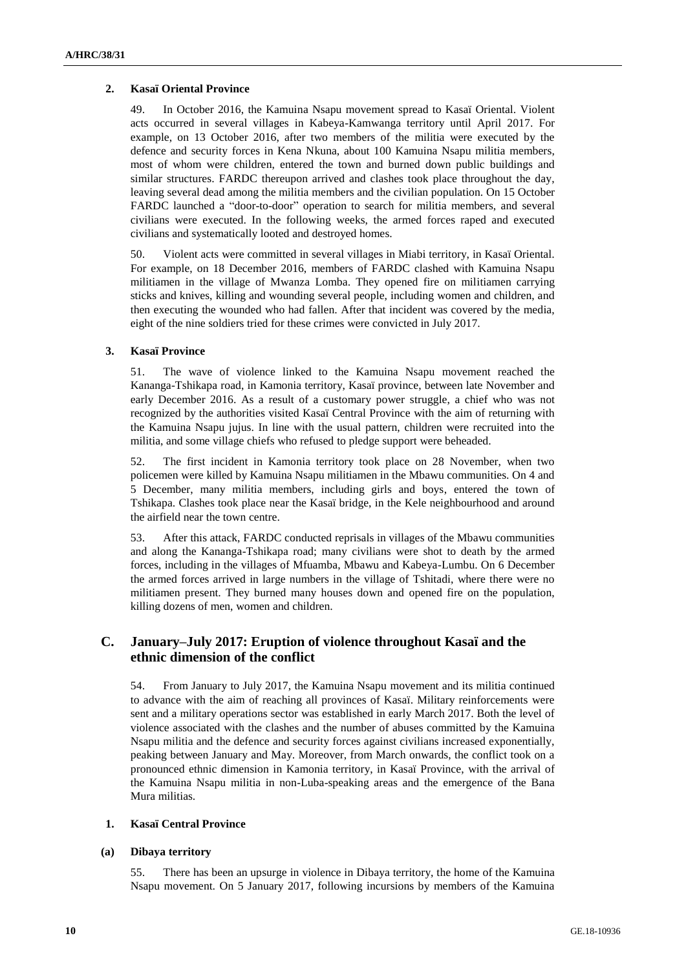### **2. Kasaï Oriental Province**

49. In October 2016, the Kamuina Nsapu movement spread to Kasaï Oriental. Violent acts occurred in several villages in Kabeya-Kamwanga territory until April 2017. For example, on 13 October 2016, after two members of the militia were executed by the defence and security forces in Kena Nkuna, about 100 Kamuina Nsapu militia members, most of whom were children, entered the town and burned down public buildings and similar structures. FARDC thereupon arrived and clashes took place throughout the day, leaving several dead among the militia members and the civilian population. On 15 October FARDC launched a "door-to-door" operation to search for militia members, and several civilians were executed. In the following weeks, the armed forces raped and executed civilians and systematically looted and destroyed homes.

50. Violent acts were committed in several villages in Miabi territory, in Kasaï Oriental. For example, on 18 December 2016, members of FARDC clashed with Kamuina Nsapu militiamen in the village of Mwanza Lomba. They opened fire on militiamen carrying sticks and knives, killing and wounding several people, including women and children, and then executing the wounded who had fallen. After that incident was covered by the media, eight of the nine soldiers tried for these crimes were convicted in July 2017.

### **3. Kasaï Province**

51. The wave of violence linked to the Kamuina Nsapu movement reached the Kananga-Tshikapa road, in Kamonia territory, Kasaï province, between late November and early December 2016. As a result of a customary power struggle, a chief who was not recognized by the authorities visited Kasaï Central Province with the aim of returning with the Kamuina Nsapu jujus. In line with the usual pattern, children were recruited into the militia, and some village chiefs who refused to pledge support were beheaded.

52. The first incident in Kamonia territory took place on 28 November, when two policemen were killed by Kamuina Nsapu militiamen in the Mbawu communities. On 4 and 5 December, many militia members, including girls and boys, entered the town of Tshikapa. Clashes took place near the Kasaï bridge, in the Kele neighbourhood and around the airfield near the town centre.

53. After this attack, FARDC conducted reprisals in villages of the Mbawu communities and along the Kananga-Tshikapa road; many civilians were shot to death by the armed forces, including in the villages of Mfuamba, Mbawu and Kabeya-Lumbu. On 6 December the armed forces arrived in large numbers in the village of Tshitadi, where there were no militiamen present. They burned many houses down and opened fire on the population, killing dozens of men, women and children.

## **C. January–July 2017: Eruption of violence throughout Kasaï and the ethnic dimension of the conflict**

54. From January to July 2017, the Kamuina Nsapu movement and its militia continued to advance with the aim of reaching all provinces of Kasaï. Military reinforcements were sent and a military operations sector was established in early March 2017. Both the level of violence associated with the clashes and the number of abuses committed by the Kamuina Nsapu militia and the defence and security forces against civilians increased exponentially, peaking between January and May. Moreover, from March onwards, the conflict took on a pronounced ethnic dimension in Kamonia territory, in Kasaï Province, with the arrival of the Kamuina Nsapu militia in non-Luba-speaking areas and the emergence of the Bana Mura militias.

### **1. Kasaï Central Province**

### **(a) Dibaya territory**

55. There has been an upsurge in violence in Dibaya territory, the home of the Kamuina Nsapu movement. On 5 January 2017, following incursions by members of the Kamuina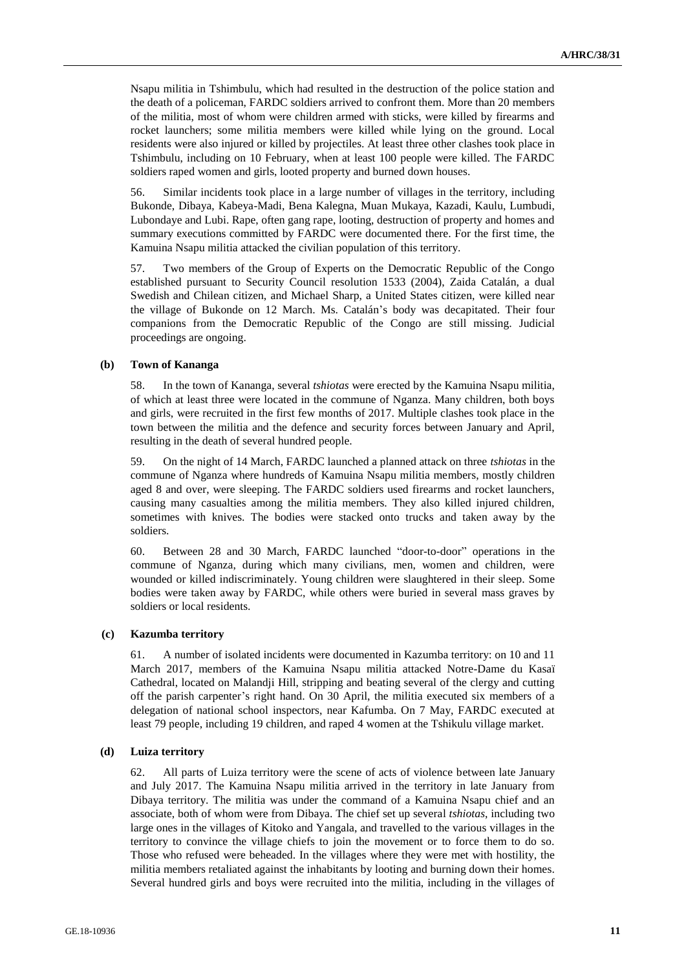Nsapu militia in Tshimbulu, which had resulted in the destruction of the police station and the death of a policeman, FARDC soldiers arrived to confront them. More than 20 members of the militia, most of whom were children armed with sticks, were killed by firearms and rocket launchers; some militia members were killed while lying on the ground. Local residents were also injured or killed by projectiles. At least three other clashes took place in Tshimbulu, including on 10 February, when at least 100 people were killed. The FARDC soldiers raped women and girls, looted property and burned down houses.

56. Similar incidents took place in a large number of villages in the territory, including Bukonde, Dibaya, Kabeya-Madi, Bena Kalegna, Muan Mukaya, Kazadi, Kaulu, Lumbudi, Lubondaye and Lubi. Rape, often gang rape, looting, destruction of property and homes and summary executions committed by FARDC were documented there. For the first time, the Kamuina Nsapu militia attacked the civilian population of this territory.

57. Two members of the Group of Experts on the Democratic Republic of the Congo established pursuant to Security Council resolution 1533 (2004), Zaida Catalán, a dual Swedish and Chilean citizen, and Michael Sharp, a United States citizen, were killed near the village of Bukonde on 12 March. Ms. Catalán's body was decapitated. Their four companions from the Democratic Republic of the Congo are still missing. Judicial proceedings are ongoing.

#### **(b) Town of Kananga**

58. In the town of Kananga, several *tshiotas* were erected by the Kamuina Nsapu militia, of which at least three were located in the commune of Nganza. Many children, both boys and girls, were recruited in the first few months of 2017. Multiple clashes took place in the town between the militia and the defence and security forces between January and April, resulting in the death of several hundred people.

59. On the night of 14 March, FARDC launched a planned attack on three *tshiotas* in the commune of Nganza where hundreds of Kamuina Nsapu militia members, mostly children aged 8 and over, were sleeping. The FARDC soldiers used firearms and rocket launchers, causing many casualties among the militia members. They also killed injured children, sometimes with knives. The bodies were stacked onto trucks and taken away by the soldiers.

60. Between 28 and 30 March, FARDC launched "door-to-door" operations in the commune of Nganza, during which many civilians, men, women and children, were wounded or killed indiscriminately. Young children were slaughtered in their sleep. Some bodies were taken away by FARDC, while others were buried in several mass graves by soldiers or local residents.

#### **(c) Kazumba territory**

61. A number of isolated incidents were documented in Kazumba territory: on 10 and 11 March 2017, members of the Kamuina Nsapu militia attacked Notre-Dame du Kasaï Cathedral, located on Malandji Hill, stripping and beating several of the clergy and cutting off the parish carpenter's right hand. On 30 April, the militia executed six members of a delegation of national school inspectors, near Kafumba. On 7 May, FARDC executed at least 79 people, including 19 children, and raped 4 women at the Tshikulu village market.

#### **(d) Luiza territory**

62. All parts of Luiza territory were the scene of acts of violence between late January and July 2017. The Kamuina Nsapu militia arrived in the territory in late January from Dibaya territory. The militia was under the command of a Kamuina Nsapu chief and an associate, both of whom were from Dibaya. The chief set up several *tshiotas*, including two large ones in the villages of Kitoko and Yangala, and travelled to the various villages in the territory to convince the village chiefs to join the movement or to force them to do so. Those who refused were beheaded. In the villages where they were met with hostility, the militia members retaliated against the inhabitants by looting and burning down their homes. Several hundred girls and boys were recruited into the militia, including in the villages of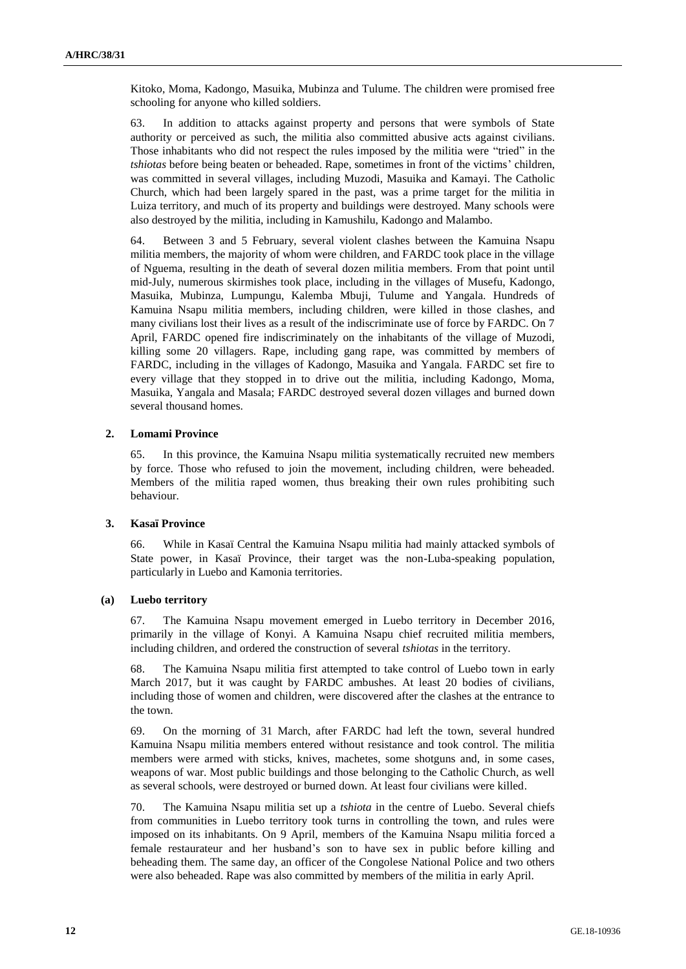Kitoko, Moma, Kadongo, Masuika, Mubinza and Tulume. The children were promised free schooling for anyone who killed soldiers.

63. In addition to attacks against property and persons that were symbols of State authority or perceived as such, the militia also committed abusive acts against civilians. Those inhabitants who did not respect the rules imposed by the militia were "tried" in the *tshiotas* before being beaten or beheaded. Rape, sometimes in front of the victims' children, was committed in several villages, including Muzodi, Masuika and Kamayi. The Catholic Church, which had been largely spared in the past, was a prime target for the militia in Luiza territory, and much of its property and buildings were destroyed. Many schools were also destroyed by the militia, including in Kamushilu, Kadongo and Malambo.

64. Between 3 and 5 February, several violent clashes between the Kamuina Nsapu militia members, the majority of whom were children, and FARDC took place in the village of Nguema, resulting in the death of several dozen militia members. From that point until mid-July, numerous skirmishes took place, including in the villages of Musefu, Kadongo, Masuika, Mubinza, Lumpungu, Kalemba Mbuji, Tulume and Yangala. Hundreds of Kamuina Nsapu militia members, including children, were killed in those clashes, and many civilians lost their lives as a result of the indiscriminate use of force by FARDC. On 7 April, FARDC opened fire indiscriminately on the inhabitants of the village of Muzodi, killing some 20 villagers. Rape, including gang rape, was committed by members of FARDC, including in the villages of Kadongo, Masuika and Yangala. FARDC set fire to every village that they stopped in to drive out the militia, including Kadongo, Moma, Masuika, Yangala and Masala; FARDC destroyed several dozen villages and burned down several thousand homes.

### **2. Lomami Province**

65. In this province, the Kamuina Nsapu militia systematically recruited new members by force. Those who refused to join the movement, including children, were beheaded. Members of the militia raped women, thus breaking their own rules prohibiting such behaviour.

### **3. Kasaï Province**

66. While in Kasaï Central the Kamuina Nsapu militia had mainly attacked symbols of State power, in Kasaï Province, their target was the non-Luba-speaking population, particularly in Luebo and Kamonia territories.

#### **(a) Luebo territory**

67. The Kamuina Nsapu movement emerged in Luebo territory in December 2016, primarily in the village of Konyi. A Kamuina Nsapu chief recruited militia members, including children, and ordered the construction of several *tshiotas* in the territory.

68. The Kamuina Nsapu militia first attempted to take control of Luebo town in early March 2017, but it was caught by FARDC ambushes. At least 20 bodies of civilians, including those of women and children, were discovered after the clashes at the entrance to the town.

69. On the morning of 31 March, after FARDC had left the town, several hundred Kamuina Nsapu militia members entered without resistance and took control. The militia members were armed with sticks, knives, machetes, some shotguns and, in some cases, weapons of war. Most public buildings and those belonging to the Catholic Church, as well as several schools, were destroyed or burned down. At least four civilians were killed.

70. The Kamuina Nsapu militia set up a *tshiota* in the centre of Luebo. Several chiefs from communities in Luebo territory took turns in controlling the town, and rules were imposed on its inhabitants. On 9 April, members of the Kamuina Nsapu militia forced a female restaurateur and her husband's son to have sex in public before killing and beheading them. The same day, an officer of the Congolese National Police and two others were also beheaded. Rape was also committed by members of the militia in early April.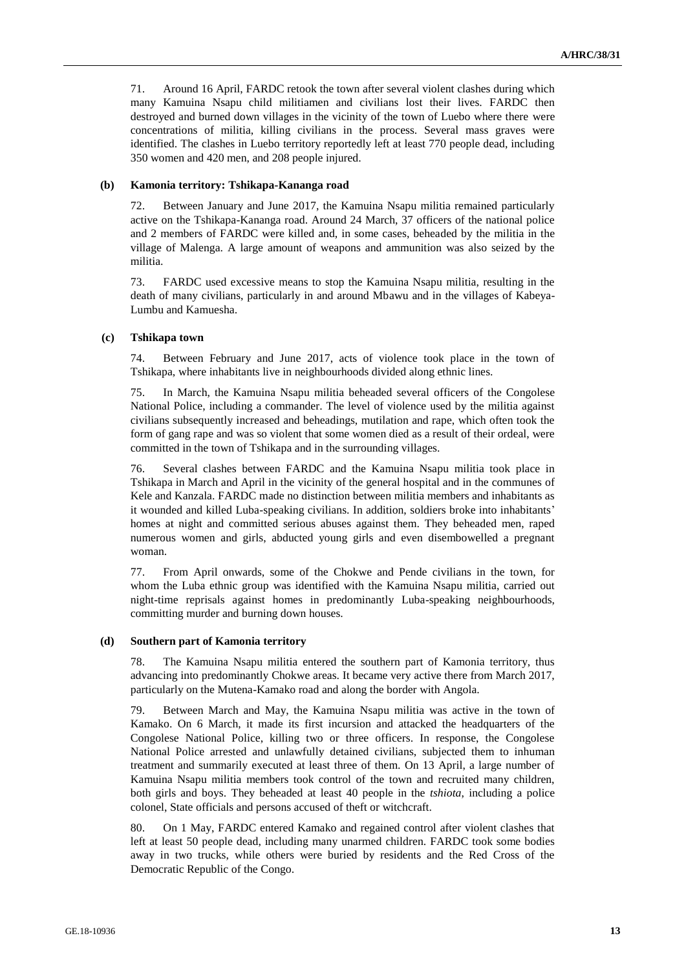71. Around 16 April, FARDC retook the town after several violent clashes during which many Kamuina Nsapu child militiamen and civilians lost their lives. FARDC then destroyed and burned down villages in the vicinity of the town of Luebo where there were concentrations of militia, killing civilians in the process. Several mass graves were identified. The clashes in Luebo territory reportedly left at least 770 people dead, including 350 women and 420 men, and 208 people injured.

### **(b) Kamonia territory: Tshikapa-Kananga road**

72. Between January and June 2017, the Kamuina Nsapu militia remained particularly active on the Tshikapa-Kananga road. Around 24 March, 37 officers of the national police and 2 members of FARDC were killed and, in some cases, beheaded by the militia in the village of Malenga. A large amount of weapons and ammunition was also seized by the militia.

73. FARDC used excessive means to stop the Kamuina Nsapu militia, resulting in the death of many civilians, particularly in and around Mbawu and in the villages of Kabeya-Lumbu and Kamuesha.

#### **(c) Tshikapa town**

74. Between February and June 2017, acts of violence took place in the town of Tshikapa, where inhabitants live in neighbourhoods divided along ethnic lines.

75. In March, the Kamuina Nsapu militia beheaded several officers of the Congolese National Police, including a commander. The level of violence used by the militia against civilians subsequently increased and beheadings, mutilation and rape, which often took the form of gang rape and was so violent that some women died as a result of their ordeal, were committed in the town of Tshikapa and in the surrounding villages.

76. Several clashes between FARDC and the Kamuina Nsapu militia took place in Tshikapa in March and April in the vicinity of the general hospital and in the communes of Kele and Kanzala. FARDC made no distinction between militia members and inhabitants as it wounded and killed Luba-speaking civilians. In addition, soldiers broke into inhabitants' homes at night and committed serious abuses against them. They beheaded men, raped numerous women and girls, abducted young girls and even disembowelled a pregnant woman.

77. From April onwards, some of the Chokwe and Pende civilians in the town, for whom the Luba ethnic group was identified with the Kamuina Nsapu militia, carried out night-time reprisals against homes in predominantly Luba-speaking neighbourhoods, committing murder and burning down houses.

### **(d) Southern part of Kamonia territory**

78. The Kamuina Nsapu militia entered the southern part of Kamonia territory, thus advancing into predominantly Chokwe areas. It became very active there from March 2017, particularly on the Mutena-Kamako road and along the border with Angola.

79. Between March and May, the Kamuina Nsapu militia was active in the town of Kamako. On 6 March, it made its first incursion and attacked the headquarters of the Congolese National Police, killing two or three officers. In response, the Congolese National Police arrested and unlawfully detained civilians, subjected them to inhuman treatment and summarily executed at least three of them. On 13 April, a large number of Kamuina Nsapu militia members took control of the town and recruited many children, both girls and boys. They beheaded at least 40 people in the *tshiota*, including a police colonel, State officials and persons accused of theft or witchcraft.

80. On 1 May, FARDC entered Kamako and regained control after violent clashes that left at least 50 people dead, including many unarmed children. FARDC took some bodies away in two trucks, while others were buried by residents and the Red Cross of the Democratic Republic of the Congo.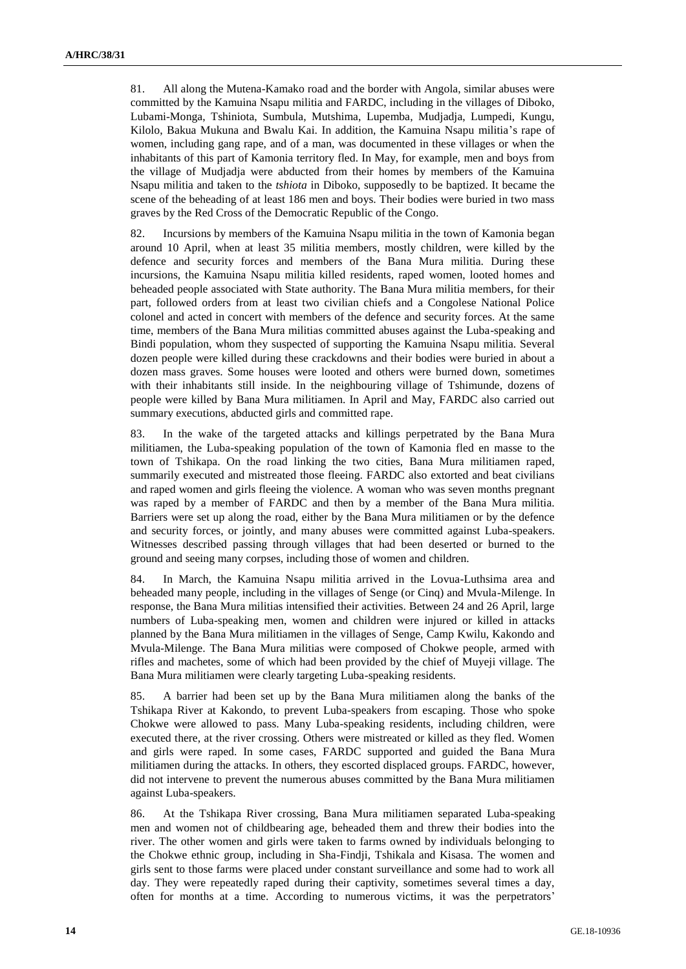81. All along the Mutena-Kamako road and the border with Angola, similar abuses were committed by the Kamuina Nsapu militia and FARDC, including in the villages of Diboko, Lubami-Monga, Tshiniota, Sumbula, Mutshima, Lupemba, Mudjadja, Lumpedi, Kungu, Kilolo, Bakua Mukuna and Bwalu Kai. In addition, the Kamuina Nsapu militia's rape of women, including gang rape, and of a man, was documented in these villages or when the inhabitants of this part of Kamonia territory fled. In May, for example, men and boys from the village of Mudjadja were abducted from their homes by members of the Kamuina Nsapu militia and taken to the *tshiota* in Diboko, supposedly to be baptized. It became the scene of the beheading of at least 186 men and boys. Their bodies were buried in two mass graves by the Red Cross of the Democratic Republic of the Congo.

82. Incursions by members of the Kamuina Nsapu militia in the town of Kamonia began around 10 April, when at least 35 militia members, mostly children, were killed by the defence and security forces and members of the Bana Mura militia. During these incursions, the Kamuina Nsapu militia killed residents, raped women, looted homes and beheaded people associated with State authority. The Bana Mura militia members, for their part, followed orders from at least two civilian chiefs and a Congolese National Police colonel and acted in concert with members of the defence and security forces. At the same time, members of the Bana Mura militias committed abuses against the Luba-speaking and Bindi population, whom they suspected of supporting the Kamuina Nsapu militia. Several dozen people were killed during these crackdowns and their bodies were buried in about a dozen mass graves. Some houses were looted and others were burned down, sometimes with their inhabitants still inside. In the neighbouring village of Tshimunde, dozens of people were killed by Bana Mura militiamen. In April and May, FARDC also carried out summary executions, abducted girls and committed rape.

83. In the wake of the targeted attacks and killings perpetrated by the Bana Mura militiamen, the Luba-speaking population of the town of Kamonia fled en masse to the town of Tshikapa. On the road linking the two cities, Bana Mura militiamen raped, summarily executed and mistreated those fleeing. FARDC also extorted and beat civilians and raped women and girls fleeing the violence. A woman who was seven months pregnant was raped by a member of FARDC and then by a member of the Bana Mura militia. Barriers were set up along the road, either by the Bana Mura militiamen or by the defence and security forces, or jointly, and many abuses were committed against Luba-speakers. Witnesses described passing through villages that had been deserted or burned to the ground and seeing many corpses, including those of women and children.

84. In March, the Kamuina Nsapu militia arrived in the Lovua-Luthsima area and beheaded many people, including in the villages of Senge (or Cinq) and Mvula-Milenge. In response, the Bana Mura militias intensified their activities. Between 24 and 26 April, large numbers of Luba-speaking men, women and children were injured or killed in attacks planned by the Bana Mura militiamen in the villages of Senge, Camp Kwilu, Kakondo and Mvula-Milenge. The Bana Mura militias were composed of Chokwe people, armed with rifles and machetes, some of which had been provided by the chief of Muyeji village. The Bana Mura militiamen were clearly targeting Luba-speaking residents.

85. A barrier had been set up by the Bana Mura militiamen along the banks of the Tshikapa River at Kakondo, to prevent Luba-speakers from escaping. Those who spoke Chokwe were allowed to pass. Many Luba-speaking residents, including children, were executed there, at the river crossing. Others were mistreated or killed as they fled. Women and girls were raped. In some cases, FARDC supported and guided the Bana Mura militiamen during the attacks. In others, they escorted displaced groups. FARDC, however, did not intervene to prevent the numerous abuses committed by the Bana Mura militiamen against Luba-speakers.

86. At the Tshikapa River crossing, Bana Mura militiamen separated Luba-speaking men and women not of childbearing age, beheaded them and threw their bodies into the river. The other women and girls were taken to farms owned by individuals belonging to the Chokwe ethnic group, including in Sha-Findji, Tshikala and Kisasa. The women and girls sent to those farms were placed under constant surveillance and some had to work all day. They were repeatedly raped during their captivity, sometimes several times a day, often for months at a time. According to numerous victims, it was the perpetrators'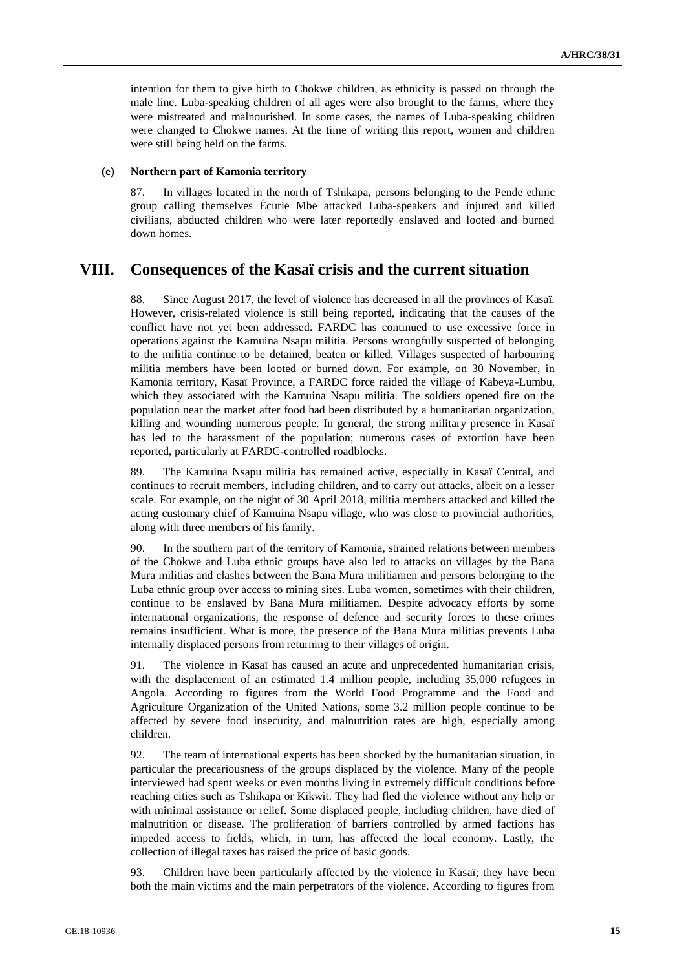intention for them to give birth to Chokwe children, as ethnicity is passed on through the male line. Luba-speaking children of all ages were also brought to the farms, where they were mistreated and malnourished. In some cases, the names of Luba-speaking children were changed to Chokwe names. At the time of writing this report, women and children were still being held on the farms.

#### **(e) Northern part of Kamonia territory**

87. In villages located in the north of Tshikapa, persons belonging to the Pende ethnic group calling themselves Écurie Mbe attacked Luba-speakers and injured and killed civilians, abducted children who were later reportedly enslaved and looted and burned down homes.

## **VIII. Consequences of the Kasaï crisis and the current situation**

88. Since August 2017, the level of violence has decreased in all the provinces of Kasaï. However, crisis-related violence is still being reported, indicating that the causes of the conflict have not yet been addressed. FARDC has continued to use excessive force in operations against the Kamuina Nsapu militia. Persons wrongfully suspected of belonging to the militia continue to be detained, beaten or killed. Villages suspected of harbouring militia members have been looted or burned down. For example, on 30 November, in Kamonia territory, Kasaï Province, a FARDC force raided the village of Kabeya-Lumbu, which they associated with the Kamuina Nsapu militia. The soldiers opened fire on the population near the market after food had been distributed by a humanitarian organization, killing and wounding numerous people. In general, the strong military presence in Kasaï has led to the harassment of the population; numerous cases of extortion have been reported, particularly at FARDC-controlled roadblocks.

89. The Kamuina Nsapu militia has remained active, especially in Kasaï Central, and continues to recruit members, including children, and to carry out attacks, albeit on a lesser scale. For example, on the night of 30 April 2018, militia members attacked and killed the acting customary chief of Kamuina Nsapu village, who was close to provincial authorities, along with three members of his family.

90. In the southern part of the territory of Kamonia, strained relations between members of the Chokwe and Luba ethnic groups have also led to attacks on villages by the Bana Mura militias and clashes between the Bana Mura militiamen and persons belonging to the Luba ethnic group over access to mining sites. Luba women, sometimes with their children, continue to be enslaved by Bana Mura militiamen. Despite advocacy efforts by some international organizations, the response of defence and security forces to these crimes remains insufficient. What is more, the presence of the Bana Mura militias prevents Luba internally displaced persons from returning to their villages of origin.

91. The violence in Kasaï has caused an acute and unprecedented humanitarian crisis, with the displacement of an estimated 1.4 million people, including 35,000 refugees in Angola. According to figures from the World Food Programme and the Food and Agriculture Organization of the United Nations, some 3.2 million people continue to be affected by severe food insecurity, and malnutrition rates are high, especially among children.

92. The team of international experts has been shocked by the humanitarian situation, in particular the precariousness of the groups displaced by the violence. Many of the people interviewed had spent weeks or even months living in extremely difficult conditions before reaching cities such as Tshikapa or Kikwit. They had fled the violence without any help or with minimal assistance or relief. Some displaced people, including children, have died of malnutrition or disease. The proliferation of barriers controlled by armed factions has impeded access to fields, which, in turn, has affected the local economy. Lastly, the collection of illegal taxes has raised the price of basic goods.

93. Children have been particularly affected by the violence in Kasaï; they have been both the main victims and the main perpetrators of the violence. According to figures from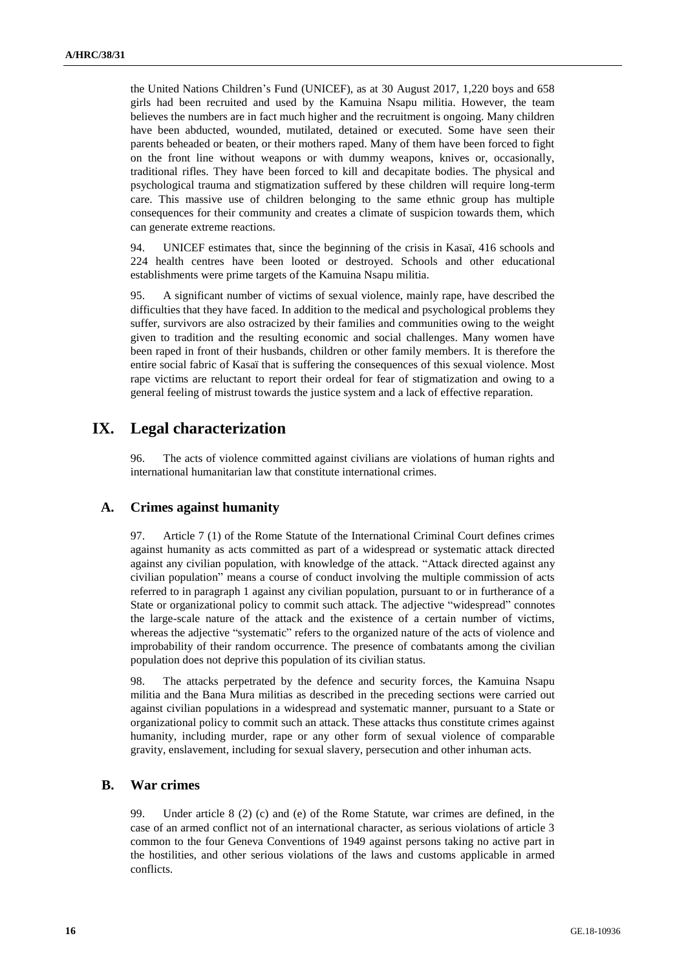the United Nations Children's Fund (UNICEF), as at 30 August 2017, 1,220 boys and 658 girls had been recruited and used by the Kamuina Nsapu militia. However, the team believes the numbers are in fact much higher and the recruitment is ongoing. Many children have been abducted, wounded, mutilated, detained or executed. Some have seen their parents beheaded or beaten, or their mothers raped. Many of them have been forced to fight on the front line without weapons or with dummy weapons, knives or, occasionally, traditional rifles. They have been forced to kill and decapitate bodies. The physical and psychological trauma and stigmatization suffered by these children will require long-term care. This massive use of children belonging to the same ethnic group has multiple consequences for their community and creates a climate of suspicion towards them, which can generate extreme reactions.

94. UNICEF estimates that, since the beginning of the crisis in Kasaï, 416 schools and 224 health centres have been looted or destroyed. Schools and other educational establishments were prime targets of the Kamuina Nsapu militia.

95. A significant number of victims of sexual violence, mainly rape, have described the difficulties that they have faced. In addition to the medical and psychological problems they suffer, survivors are also ostracized by their families and communities owing to the weight given to tradition and the resulting economic and social challenges. Many women have been raped in front of their husbands, children or other family members. It is therefore the entire social fabric of Kasaï that is suffering the consequences of this sexual violence. Most rape victims are reluctant to report their ordeal for fear of stigmatization and owing to a general feeling of mistrust towards the justice system and a lack of effective reparation.

## **IX. Legal characterization**

96. The acts of violence committed against civilians are violations of human rights and international humanitarian law that constitute international crimes.

### **A. Crimes against humanity**

97. Article 7 (1) of the Rome Statute of the International Criminal Court defines crimes against humanity as acts committed as part of a widespread or systematic attack directed against any civilian population, with knowledge of the attack. "Attack directed against any civilian population" means a course of conduct involving the multiple commission of acts referred to in paragraph 1 against any civilian population, pursuant to or in furtherance of a State or organizational policy to commit such attack. The adjective "widespread" connotes the large-scale nature of the attack and the existence of a certain number of victims, whereas the adjective "systematic" refers to the organized nature of the acts of violence and improbability of their random occurrence. The presence of combatants among the civilian population does not deprive this population of its civilian status.

98. The attacks perpetrated by the defence and security forces, the Kamuina Nsapu militia and the Bana Mura militias as described in the preceding sections were carried out against civilian populations in a widespread and systematic manner, pursuant to a State or organizational policy to commit such an attack. These attacks thus constitute crimes against humanity, including murder, rape or any other form of sexual violence of comparable gravity, enslavement, including for sexual slavery, persecution and other inhuman acts.

### **B. War crimes**

99. Under article 8 (2) (c) and (e) of the Rome Statute, war crimes are defined, in the case of an armed conflict not of an international character, as serious violations of article 3 common to the four Geneva Conventions of 1949 against persons taking no active part in the hostilities, and other serious violations of the laws and customs applicable in armed conflicts.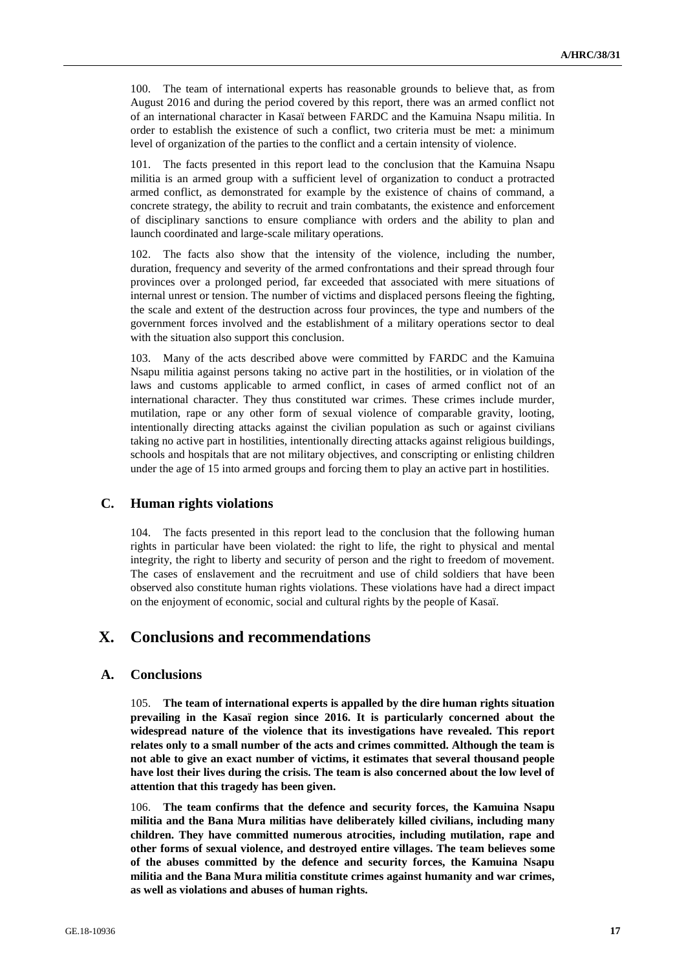100. The team of international experts has reasonable grounds to believe that, as from August 2016 and during the period covered by this report, there was an armed conflict not of an international character in Kasaï between FARDC and the Kamuina Nsapu militia. In order to establish the existence of such a conflict, two criteria must be met: a minimum level of organization of the parties to the conflict and a certain intensity of violence.

101. The facts presented in this report lead to the conclusion that the Kamuina Nsapu militia is an armed group with a sufficient level of organization to conduct a protracted armed conflict, as demonstrated for example by the existence of chains of command, a concrete strategy, the ability to recruit and train combatants, the existence and enforcement of disciplinary sanctions to ensure compliance with orders and the ability to plan and launch coordinated and large-scale military operations.

102. The facts also show that the intensity of the violence, including the number, duration, frequency and severity of the armed confrontations and their spread through four provinces over a prolonged period, far exceeded that associated with mere situations of internal unrest or tension. The number of victims and displaced persons fleeing the fighting, the scale and extent of the destruction across four provinces, the type and numbers of the government forces involved and the establishment of a military operations sector to deal with the situation also support this conclusion.

Many of the acts described above were committed by FARDC and the Kamuina Nsapu militia against persons taking no active part in the hostilities, or in violation of the laws and customs applicable to armed conflict, in cases of armed conflict not of an international character. They thus constituted war crimes. These crimes include murder, mutilation, rape or any other form of sexual violence of comparable gravity, looting, intentionally directing attacks against the civilian population as such or against civilians taking no active part in hostilities, intentionally directing attacks against religious buildings, schools and hospitals that are not military objectives, and conscripting or enlisting children under the age of 15 into armed groups and forcing them to play an active part in hostilities.

## **C. Human rights violations**

104. The facts presented in this report lead to the conclusion that the following human rights in particular have been violated: the right to life, the right to physical and mental integrity, the right to liberty and security of person and the right to freedom of movement. The cases of enslavement and the recruitment and use of child soldiers that have been observed also constitute human rights violations. These violations have had a direct impact on the enjoyment of economic, social and cultural rights by the people of Kasaï.

## **X. Conclusions and recommendations**

### **A. Conclusions**

105. **The team of international experts is appalled by the dire human rights situation prevailing in the Kasaï region since 2016. It is particularly concerned about the widespread nature of the violence that its investigations have revealed. This report relates only to a small number of the acts and crimes committed. Although the team is not able to give an exact number of victims, it estimates that several thousand people have lost their lives during the crisis. The team is also concerned about the low level of attention that this tragedy has been given.**

106. **The team confirms that the defence and security forces, the Kamuina Nsapu militia and the Bana Mura militias have deliberately killed civilians, including many children. They have committed numerous atrocities, including mutilation, rape and other forms of sexual violence, and destroyed entire villages. The team believes some of the abuses committed by the defence and security forces, the Kamuina Nsapu militia and the Bana Mura militia constitute crimes against humanity and war crimes, as well as violations and abuses of human rights.**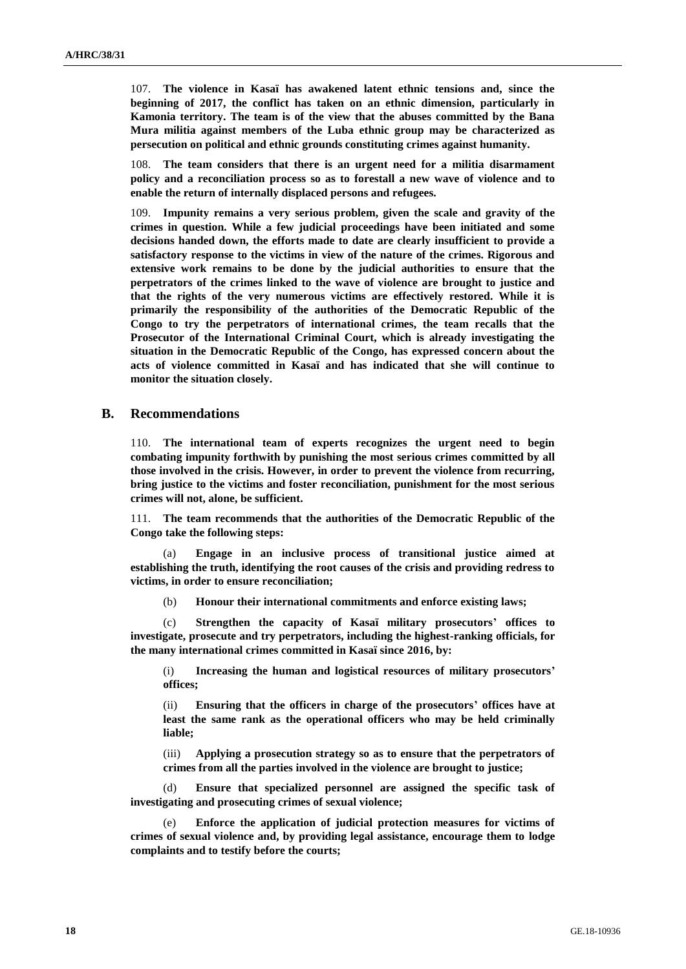107. **The violence in Kasaï has awakened latent ethnic tensions and, since the beginning of 2017, the conflict has taken on an ethnic dimension, particularly in Kamonia territory. The team is of the view that the abuses committed by the Bana Mura militia against members of the Luba ethnic group may be characterized as persecution on political and ethnic grounds constituting crimes against humanity.**

108. **The team considers that there is an urgent need for a militia disarmament policy and a reconciliation process so as to forestall a new wave of violence and to enable the return of internally displaced persons and refugees.** 

109. **Impunity remains a very serious problem, given the scale and gravity of the crimes in question. While a few judicial proceedings have been initiated and some decisions handed down, the efforts made to date are clearly insufficient to provide a satisfactory response to the victims in view of the nature of the crimes. Rigorous and extensive work remains to be done by the judicial authorities to ensure that the perpetrators of the crimes linked to the wave of violence are brought to justice and that the rights of the very numerous victims are effectively restored. While it is primarily the responsibility of the authorities of the Democratic Republic of the Congo to try the perpetrators of international crimes, the team recalls that the Prosecutor of the International Criminal Court, which is already investigating the situation in the Democratic Republic of the Congo, has expressed concern about the acts of violence committed in Kasaï and has indicated that she will continue to monitor the situation closely.**

### **B. Recommendations**

110. **The international team of experts recognizes the urgent need to begin combating impunity forthwith by punishing the most serious crimes committed by all those involved in the crisis. However, in order to prevent the violence from recurring, bring justice to the victims and foster reconciliation, punishment for the most serious crimes will not, alone, be sufficient.**

111. **The team recommends that the authorities of the Democratic Republic of the Congo take the following steps:**

(a) **Engage in an inclusive process of transitional justice aimed at establishing the truth, identifying the root causes of the crisis and providing redress to victims, in order to ensure reconciliation;**

(b) **Honour their international commitments and enforce existing laws;**

(c) **Strengthen the capacity of Kasaï military prosecutors' offices to investigate, prosecute and try perpetrators, including the highest-ranking officials, for the many international crimes committed in Kasaï since 2016, by:**

(i) **Increasing the human and logistical resources of military prosecutors' offices;** 

(ii) **Ensuring that the officers in charge of the prosecutors' offices have at least the same rank as the operational officers who may be held criminally liable;**

(iii) **Applying a prosecution strategy so as to ensure that the perpetrators of crimes from all the parties involved in the violence are brought to justice;** 

(d) **Ensure that specialized personnel are assigned the specific task of investigating and prosecuting crimes of sexual violence;** 

(e) **Enforce the application of judicial protection measures for victims of crimes of sexual violence and, by providing legal assistance, encourage them to lodge complaints and to testify before the courts;**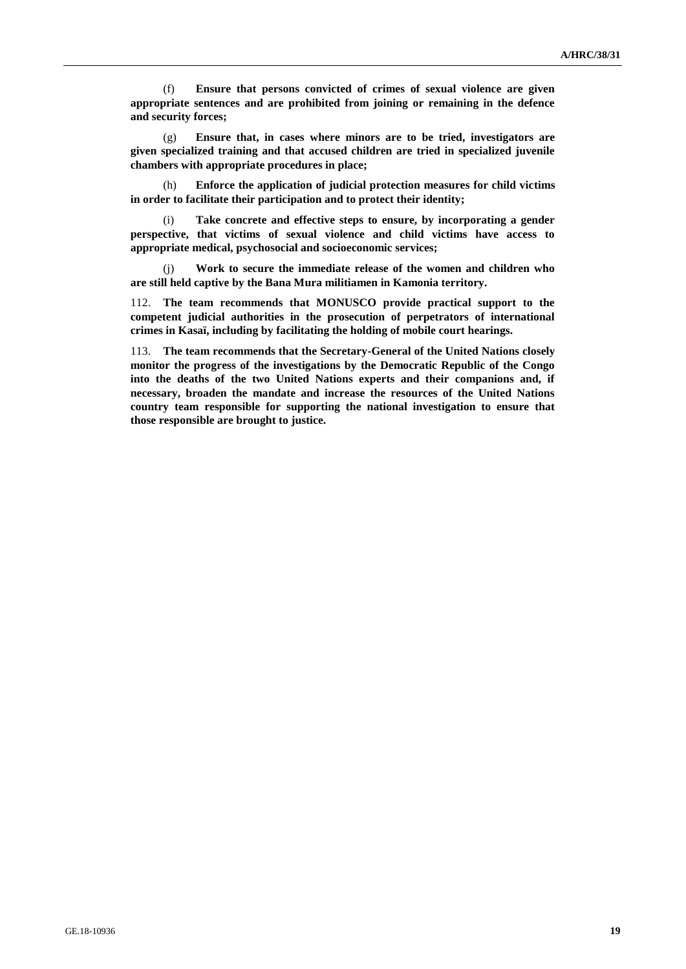(f) **Ensure that persons convicted of crimes of sexual violence are given appropriate sentences and are prohibited from joining or remaining in the defence and security forces;** 

(g) **Ensure that, in cases where minors are to be tried, investigators are given specialized training and that accused children are tried in specialized juvenile chambers with appropriate procedures in place;**

(h) **Enforce the application of judicial protection measures for child victims in order to facilitate their participation and to protect their identity;** 

(i) **Take concrete and effective steps to ensure, by incorporating a gender perspective, that victims of sexual violence and child victims have access to appropriate medical, psychosocial and socioeconomic services;** 

(j) **Work to secure the immediate release of the women and children who are still held captive by the Bana Mura militiamen in Kamonia territory.**

112. **The team recommends that MONUSCO provide practical support to the competent judicial authorities in the prosecution of perpetrators of international crimes in Kasaï, including by facilitating the holding of mobile court hearings.**

113. **The team recommends that the Secretary-General of the United Nations closely monitor the progress of the investigations by the Democratic Republic of the Congo into the deaths of the two United Nations experts and their companions and, if necessary, broaden the mandate and increase the resources of the United Nations country team responsible for supporting the national investigation to ensure that those responsible are brought to justice.**